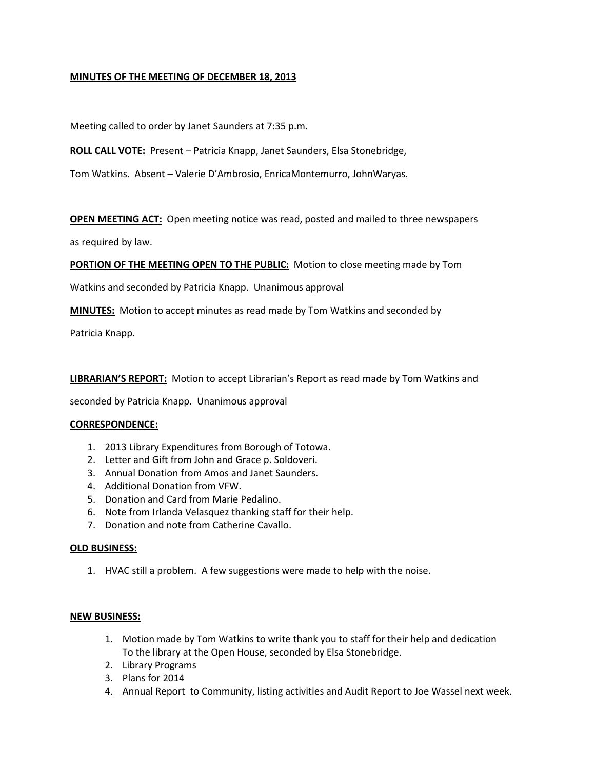# **MINUTES OF THE MEETING OF DECEMBER 18, 2013**

Meeting called to order by Janet Saunders at 7:35 p.m.

**ROLL CALL VOTE:** Present – Patricia Knapp, Janet Saunders, Elsa Stonebridge,

Tom Watkins. Absent – Valerie D'Ambrosio, EnricaMontemurro, JohnWaryas.

**OPEN MEETING ACT:** Open meeting notice was read, posted and mailed to three newspapers

as required by law.

**PORTION OF THE MEETING OPEN TO THE PUBLIC:** Motion to close meeting made by Tom

Watkins and seconded by Patricia Knapp. Unanimous approval

**MINUTES:** Motion to accept minutes as read made by Tom Watkins and seconded by

Patricia Knapp.

**LIBRARIAN'S REPORT:** Motion to accept Librarian's Report as read made by Tom Watkins and

seconded by Patricia Knapp. Unanimous approval

### **CORRESPONDENCE:**

- 1. 2013 Library Expenditures from Borough of Totowa.
- 2. Letter and Gift from John and Grace p. Soldoveri.
- 3. Annual Donation from Amos and Janet Saunders.
- 4. Additional Donation from VFW.
- 5. Donation and Card from Marie Pedalino.
- 6. Note from Irlanda Velasquez thanking staff for their help.
- 7. Donation and note from Catherine Cavallo.

### **OLD BUSINESS:**

1. HVAC still a problem. A few suggestions were made to help with the noise.

### **NEW BUSINESS:**

- 1. Motion made by Tom Watkins to write thank you to staff for their help and dedication To the library at the Open House, seconded by Elsa Stonebridge.
- 2. Library Programs
- 3. Plans for 2014
- 4. Annual Report to Community, listing activities and Audit Report to Joe Wassel next week.